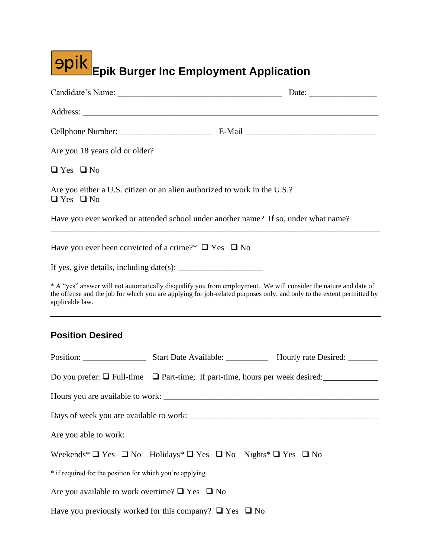| <b>9pik</b><br>Epik Burger Inc Employment Application                                                                                                                                                                                                                                                                         |  |                                                                                            |  |  |  |
|-------------------------------------------------------------------------------------------------------------------------------------------------------------------------------------------------------------------------------------------------------------------------------------------------------------------------------|--|--------------------------------------------------------------------------------------------|--|--|--|
|                                                                                                                                                                                                                                                                                                                               |  |                                                                                            |  |  |  |
|                                                                                                                                                                                                                                                                                                                               |  |                                                                                            |  |  |  |
|                                                                                                                                                                                                                                                                                                                               |  |                                                                                            |  |  |  |
| Are you 18 years old or older?                                                                                                                                                                                                                                                                                                |  |                                                                                            |  |  |  |
| $\Box$ Yes $\Box$ No                                                                                                                                                                                                                                                                                                          |  |                                                                                            |  |  |  |
| Are you either a U.S. citizen or an alien authorized to work in the U.S.?<br>$\Box$ Yes $\Box$ No                                                                                                                                                                                                                             |  |                                                                                            |  |  |  |
| Have you ever worked or attended school under another name? If so, under what name?                                                                                                                                                                                                                                           |  |                                                                                            |  |  |  |
| Have you ever been convicted of a crime?* $\Box$ Yes $\Box$ No<br>* A "yes" answer will not automatically disqualify you from employment. We will consider the nature and date of<br>the offense and the job for which you are applying for job-related purposes only, and only to the extent permitted by<br>applicable law. |  |                                                                                            |  |  |  |
| <b>Position Desired</b>                                                                                                                                                                                                                                                                                                       |  |                                                                                            |  |  |  |
|                                                                                                                                                                                                                                                                                                                               |  |                                                                                            |  |  |  |
| Do you prefer: $\Box$ Full-time $\Box$ Part-time; If part-time, hours per week desired:                                                                                                                                                                                                                                       |  |                                                                                            |  |  |  |
|                                                                                                                                                                                                                                                                                                                               |  |                                                                                            |  |  |  |
|                                                                                                                                                                                                                                                                                                                               |  |                                                                                            |  |  |  |
| Are you able to work:                                                                                                                                                                                                                                                                                                         |  |                                                                                            |  |  |  |
|                                                                                                                                                                                                                                                                                                                               |  | Weekends* $\Box$ Yes $\Box$ No Holidays* $\Box$ Yes $\Box$ No Nights* $\Box$ Yes $\Box$ No |  |  |  |
| * if required for the position for which you're applying                                                                                                                                                                                                                                                                      |  |                                                                                            |  |  |  |
| Are you available to work overtime? $\Box$ Yes $\Box$ No                                                                                                                                                                                                                                                                      |  |                                                                                            |  |  |  |
| Have you previously worked for this company? $\Box$ Yes $\Box$ No                                                                                                                                                                                                                                                             |  |                                                                                            |  |  |  |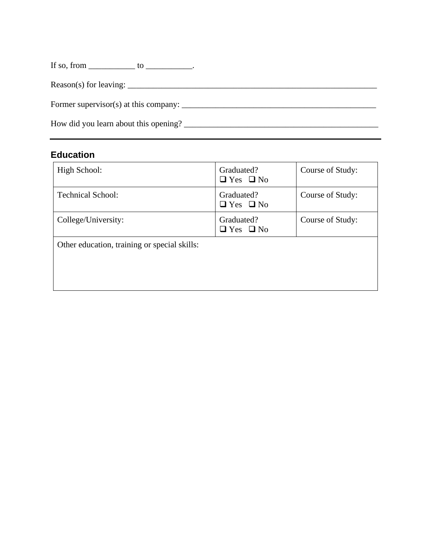| If so, from $\_\_\_\_\_\_\_$ to $\_\_\_\_\_\_\_\_\_$ . |
|--------------------------------------------------------|
|                                                        |
|                                                        |
| How did you learn about this opening?                  |

## **Education**

| High School:                                 | Graduated?<br>$\Box$ Yes $\Box$ No | Course of Study: |
|----------------------------------------------|------------------------------------|------------------|
| <b>Technical School:</b>                     | Graduated?<br>$\Box$ Yes $\Box$ No | Course of Study: |
| College/University:                          | Graduated?<br>$\Box$ Yes $\Box$ No | Course of Study: |
| Other education, training or special skills: |                                    |                  |